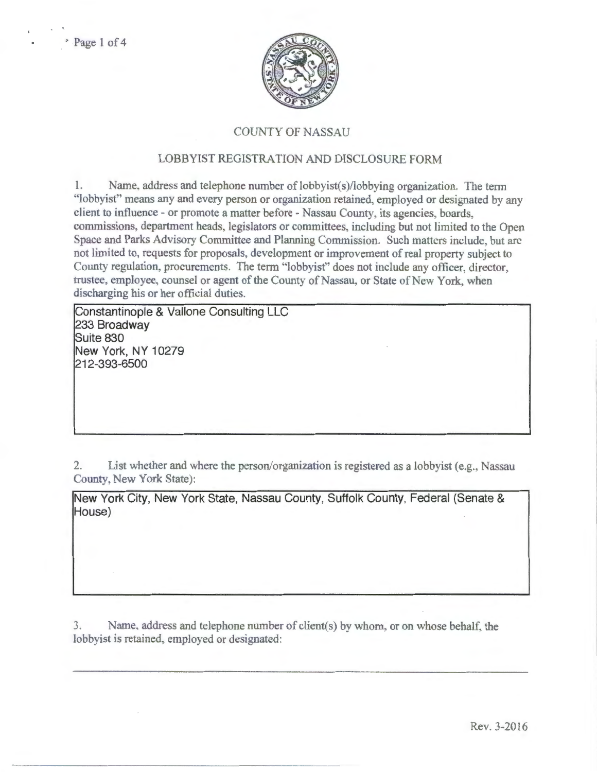

## COUNTY OF NASSAU

## LOBBYIST REGISTRATION AND DISCLOSURE FORM

1. Name. address and telephone number of lobbyist(s)/lobbying organization. The term "lobbyist" means any and every person or organization retained, employed or designated by any client to influence- or promote a matter before- Nassau County, its agencies, boards, commissions, department heads, legislators or committees, including but not limited to the Open Space and Parks Advisory Committee and Planning Commission. Such matters include, but arc not limited to, requests for proposals, development or improvement of real property subject to County regulation, procurements. The term "lobbyist" does not include any officer, director, trustee, employee, counsel or agent of the County of Nassau, or State of New York, when discharging his or her official duties.

Constantinople & Vallone Consulting LLC 233 Broadway Suite 830 New York, NY 10279 212-393-6500

2. List whether and where the person/organization is registered as a lobbyist (e.g., Nassau County, New York State):

New York City, New York State, Nassau County, Suffolk County, Federal (Senate & House)

3. Name, address and telephone number of client(s) by whom, or on whose behalf, the lobbyist is retained, employed or designated: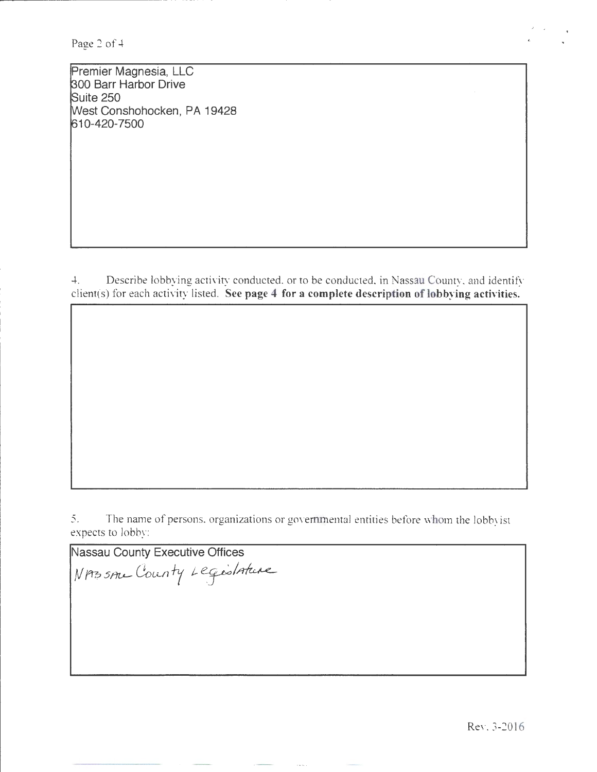Page 2 of 4

Premier Magnesia, LLC ~00 Barr Harbor Drive Suite 250 West Conshohocken, PA 19428 610-420-7500

4. Describe lobbying activity conducted, or to be conducted, in Nassau County, and identify client(s) for each activity listed. See page 4 for a complete description of lobbying activities.

5. The name of persons, organizations or governmental entities before whom the lobbyist expects to lobby:

Nassau County Executive Offices  $N$  prossine County Legislature

Rev. 3-2016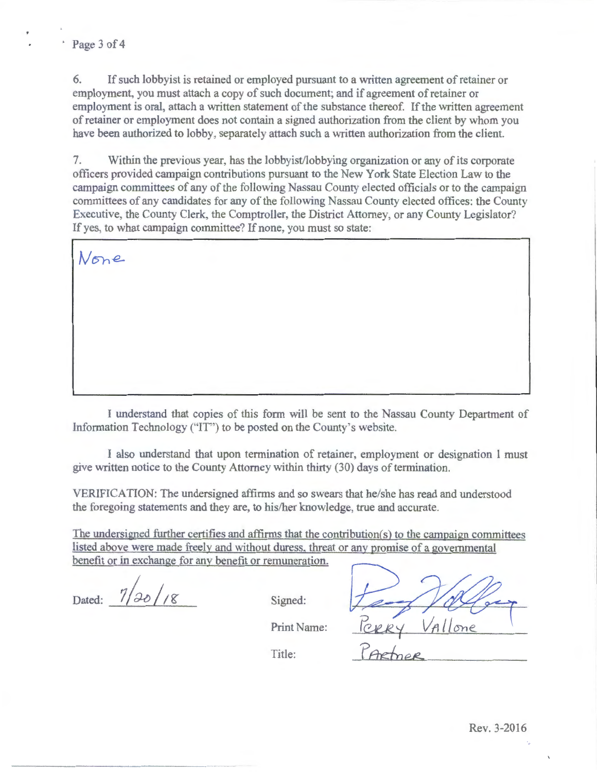6. If such lobbyist is retained or employed pursuant to a written agreement of retainer or employment, you must attach a copy of such document; and if agreement of retainer or employment is oral, attach a written statement of the substance thereof. If the written agreement of retainer or employment does not contain a signed authorization from the client by whom you have been authorized to lobby, separately attach such a written authorization from the client.

7. Within the previous year, has the lobbyist/lobbying organization or any of its corporate officers provided campaign contributions pursuant to the New York State Election Law to the campaign committees of any of the following Nassau County elected officials or to the campaign committees of any candidates for any of the following Nassau County elected offices: the County Executive, the County Clerk, the Comptroller, the District Attorney, or any County Legislator? If yes, to what campaign committee? If none, you must so state:

None

I understand that copies of this form will be sent to the Nassau County Department of Information Technology ("IT") to be posted on the County's website.

I also tmderstand that upon termination of retainer, employment or designation I must give written notice to the County Attorney within thirty (30) days of termination.

VERIFICATION: The undersigned affirms and so swears that he/she has read and understood the foregoing statements and they are, to his/her knowledge, true and accurate.

The undersigned further certifies and affirms that the contribution(s) to the campaign committees listed above were made freely and without duress. threat or any promise of a governmental benefit or in exchange for any benefit or remuneration.

Dated:  $\frac{7}{20}/8$  Signed:

Title:

Print Name: